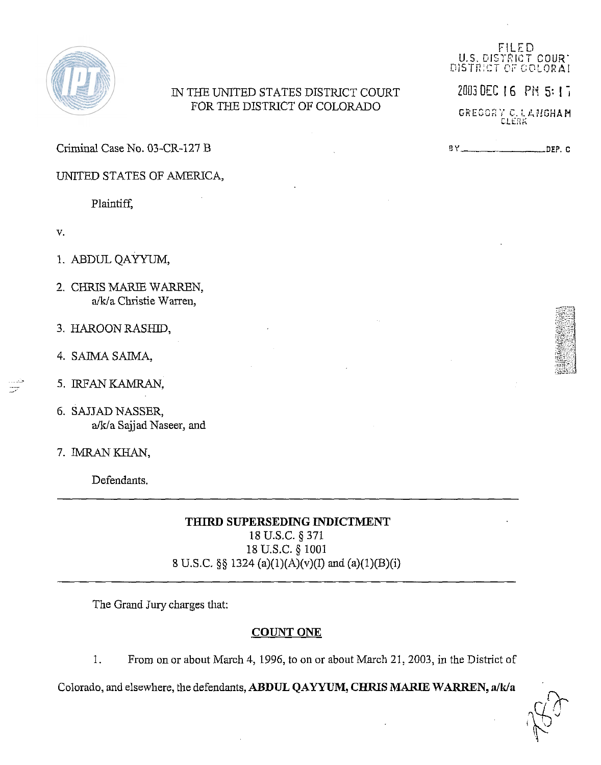

## IN THE UNITED STATES DISTRICT COURT FOR THE DISTRICT OF COLORADO

Criminal Case No. 03-CR-127 B

UNITED STATES OF AMERICA,

Plaintiff,

- $V<sub>1</sub>$
- 1. ABDUL QAYYUM,
- 2. CHRIS MARIE WARREN, a/k/a Christie Warren,
- 3. HAROON RASHID,
- 4. SAIMA SAIMA,
- 5. IRFAN KAMRAN,
- 6. **SAJJAD** NASSER, a/k/a Sajjad Naseer, and
- 7. IMRAN KHAN,

Defendants.

## **THIRD SUPERSEDING INDICTMENT**

18 U.S.C. *5* 371 18 U.S.C. *5* 1001 8 U.S.C. **58** 1324 (a)(l)(A)(v)(I) and (a)(l)(B)(i)

The Grand Jury charges that:

## **COUNT ONE**

1. From on or about March 4, 1996, to on or about March 21,2003, in the District of

Colorado, and elsewhere, the defendants, ABDUL QAYYUM, CHRIS MARIE WARREN, a/k/a

FILFD U.S. DISTRICT COUR' DISTRICT OF COLORAI

2003 DEC 16 PH 5: 17

GREGORY C.LANGHAM

**BY** DE?. C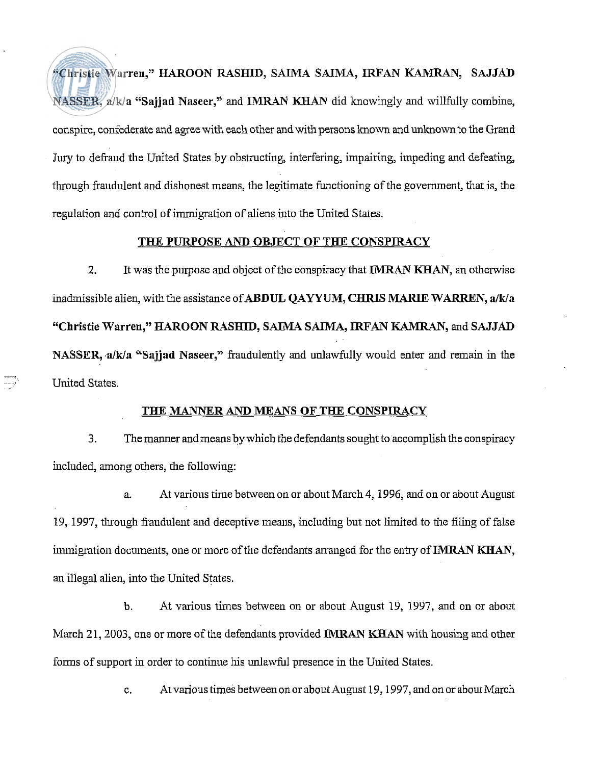Vhristie Warren," HAROON RASHID, SAIMA SAIMA, **IRFAN KAMRAN,** SAJJAD NASSER,  $a/k/a$  "Sajjad Naseer," and IMRAN KHAN did knowingly and willfully combine, conspire, confederate and agree with each other and with persons known and unlmown to the Grand Jury to defraud the United States by obstructing, interfering, impairing, impeding and defeating, through fraudulent and dishonest means, the legitimate functioning of the government, that is, the regulation and control of immigration of aliens into the United States.

## THE PURPOSE AND OBJECT OF THE CONSPIRACY

2. It was the purpose and object of the conspiracy that **IMRAN KHAN**, an otherwise inadmissible alien, with the assistance of ABDUL OAYYUM, CHRIS MARIE WARREN, a/k/a "Christie Warren," HAROON RASHID, SAIMA SAIMA, IRFAN K4MRAN, and SAJJAD NASSER, a/k/a "Sajjad Naseer," fraudulently and unlawfully would enter and remain in the United States.

-

#### THE MANNER AND MEANS OF THE CONSPIRACY

3. The manner andmeans by which the defendants sought to accomplish the conspiracy included, among others, the following:

a. At various time between on or about March 4,1996, and on or about August 19, 1997, through fraudulent and deceptive means, including but not limited to the filing of false immigration documents, one or more of the defendants arranged for the entry of **IMRAN KHAN**, an illegal alien, into the United States.

b. At various times between on or about August 19, 1997, and on or about March 21, 2003, one or more of the defendants provided **IMRAN KHAN** with housing and other forms of support in order to continue his unlawfid presence in the United States.

c. Atvarious times betweenon or about August 19,1997, and on or aboutMarch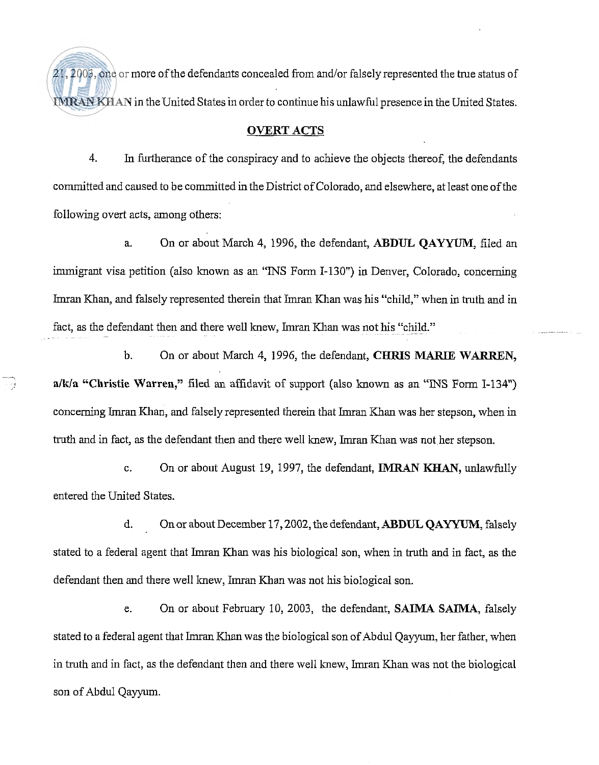21,2003, one or more of the defendants concealed from and/or falsely represented the true status of **IMRAN KHAN in the United States in order to continue his unlawful presence in the United States.** 

#### OVERT **ACTS**

4. In furtherance of the conspiracy and to achieve the objects thereof, the defendants committed and caused to be committed in the District of Colorado, and elsewhere, at least one of the following overt acts, among others:

a. On or about March 4, 1996, the defendant, **ABDUL QAYYUM,** filed an immigrant visa petition (also known as an "WS Form 1-130") in Denver, Colorado, concerning Imran Khan, and falsely represented therein that Imran Khan was his "child," when in truth and in fact, as the defendant then and there well knew, Imran Khan was not his "child."

b. On or about March 4, 1996, the defendant, CHRIS MARIE WARREN, a/k/a "Christie Warren," filed an affidavit of support (also known as an "INS Form I-134") concerning Imran Khan, and falsely represented therein that Imran Khan was her stepson, when in truth and in fact, as the defendant then and there well knew, Imran Khan was not her stepson.

c. On or about August 19, 1997, the defendant, **IMRAN KHAN**, unlawfully entered the United States.

d. On or about December 17,2002, the defendant, **ABDUL QAYYUM,** falsely stated to a federal agent that Imran Khan was his biological son, when in truth and in fact, as the defendant then and there well knew, Imran Khan was not his biological son.

e. On or about February 10, 2003, the defendant, SAIMA **SAIMA,** falsely stated to a federal agent that Imran Khan was the biological son of Abdul Qayyum, her father, when in truth and in fact, as the defendant then and there well knew, Imran Khan was not the biological son of Abdul Qayyum.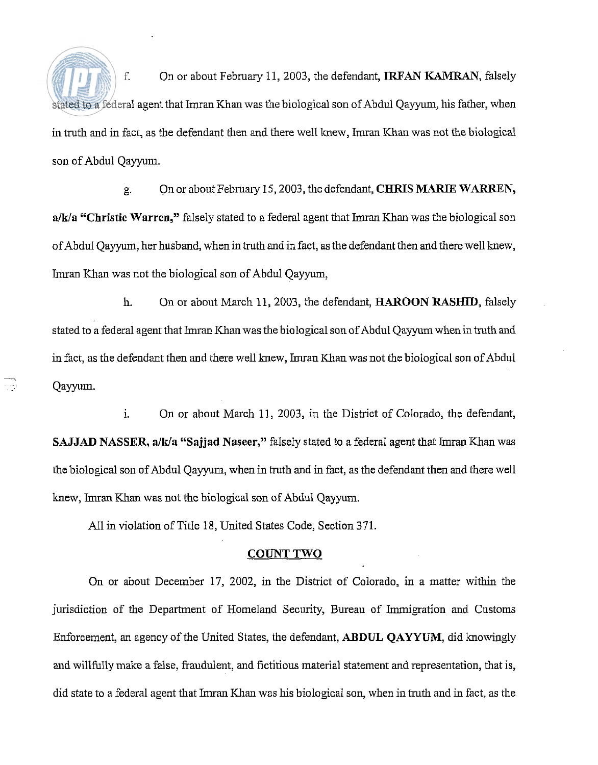f. On or about February 11, 2003, the defendant, IRFAN **KAMRAN,** falsely stated to a federal agent that Imran Khan was the biological son of Abdul Qayyum, his father, when in truth and in fact, as the defendant then and there well knew, Imran Khan was not the biological son of Abdul Qayyum.

g. On or about February 15,2003, the defendant, CHRIS MARIE WARREN,  $a/k/a$  "Christie Warren," falsely stated to a federal agent that Imran Khan was the biological son of Abdul Qayyum, her husband, when in truth and in fact, as the defendant then and there well knew, Imran Khan was not the biological son of Abdul Qayyum,

h. On or about March 11, 2003, the defendant, HAROON RASHID, falsely stated to a federal agent that Imran Khan was the biological son of Abdul Qayyum when in truth and in fact, as the defendant then and there well knew, Imran Khan was not the biological son of Abdul Qayyum.

i. On or about March 11, 2003, in the District of Colorado, the defendant, SAJJAD NASSER, a/k/a "Sajjad Naseer," falsely stated to a federal agent that Imran Khan was the biological son of Abdul Qayyum, when in truth and in fact, as the defendant then and there well hew, lmran Khan was not the biological son of Abdul Qayyum.

All inviolation of Title 18, United States Code, Section 371.

#### COUNT TWO

On or about December 17, 2002, in the District of Colorado, in a matter within the jurisdiction of the Department of Homeland Security, Bureau of Immigration and Customs Enforcement, an agency of the United States, the defendant, **ABDUL** QATYUM, did knowingly and willfully make a false, fraudulent, and fictitious material statement and representation, that is, did state to a federal agent that Imran Khan was his biological son, when in truth and in fact, as the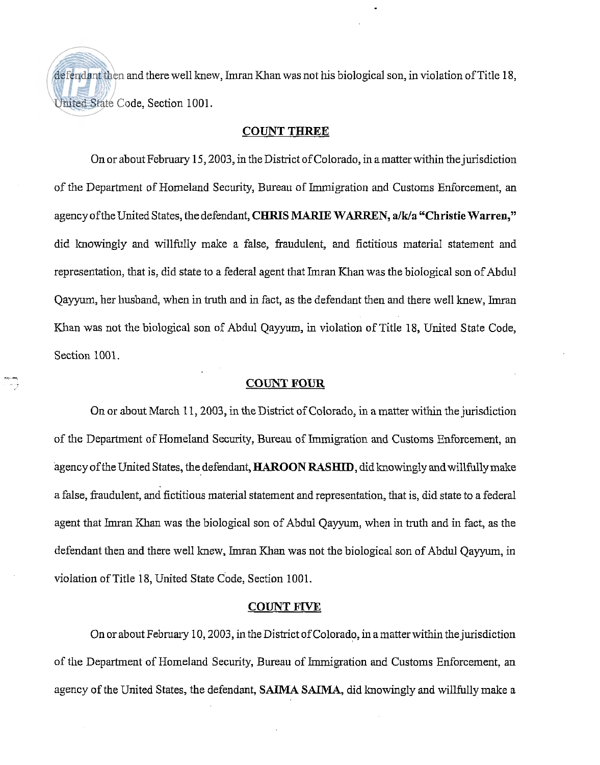defendant then and there well knew, Imran Khan was not his biological son, in violation of Title 18, United State Code, Section 1001.

### **COUNT THREE**

On or about February 15,2003, in the District of Colorado, in amatter within the jurisdiction of the Department of Homeland Security, Bureau of Immigration and Customs Enforcement, an agency of the United States, the defendant, **CHRIS MARIE WARREN, a/k/a "Christie Warren,"** did knowingly and willfully malce a false, fiaudulent, and fictitious material statement and representation, that is, did state to a federal agent that Imran Khan was the biological son of Abdul Qayyum, her husband, when in truth and in fact, as the defendant then and there well knew, Imran Khan was not the biological son of Abdul Qayyum, in violation of Title 18, United State Code, Section 1001.

#### **COUNT POUR**

. . . .

On or about March 11,2003, in the District of Colorado, in a matter within the jurisdiction of the Department of Homeland Security, Bureau of Immigration and Customs Enforcement, an agency of the United States, the defendant, **HAROON RASHID**, did knowingly and willfully make a false, fraudulent, and fictitious material statement and representation, that is, did state to a federal agent that Imran Khan was the biological son of Abdul Qayyum, when in truth and in fact, as the defendant then and there well knew, Imran Khan was not the biological son of Abdul Qayyum, in violation of Title 18, United State Code, Section 1001.

#### **COUNT FIVE**

On or about February 10,2003, in the District of Colorado, in amatterwithin the jurisdiction of the Department of Homeland Security, Bureau of Immigration and Customs Enforcement, an agency of the United States, the defendant, **SAIMA SAIMA,** did lmowingly and willfully malce a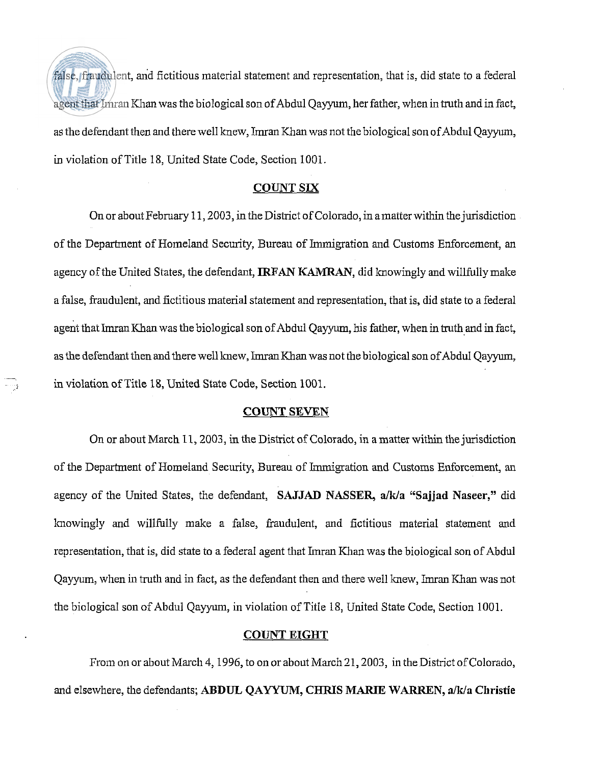false, fraudulent, and fictitious material statement and representation, that is, did state to a federal agent that Imran Khan was the biological son of Abdul Qayyum, her father, when in truth and in fact, as the defendant then and there well knew, Imran Khan was not the biological son of Abdul Qayyum, in violation of Title 18, United State Code, Section 1001.

## **COUNT SIX**

On or about February 11,2003, in the District of Colorado, in amatter within the jurisdiction of the Department of Homeland Security, Bureau of Immigration and Customs Enforcement, an agency of the United States, the defendant, IRFAN **KAMRAN,** did knowingly and willfully make a false, haudulent, and fictitious material statement and representation, that is, did state to a federal agent that Imran Khan was the biological son of Abdul Qayyum, his father, when in truth and in fact, as the defendant then and there well knew, Imran Khan was not the biological son of Abdul Qayyum, in violation of Title 18, United State Code, Section 1001.

#### **COUNT SEVEN**

-

On or about March 11,2003, in the District of Colorado, in amatter within the jurisdiction of the Department of Homeland Security, Bureau of Immigration and Customs Enforcement, an agency of the United States, the defendant, SAJJAD NASSER, a/k/a "Sajjad Naseer," did lmowingly and willfully make a false, fraudulent, and fictitious material statement and representation, that is, did state to a federal agent that Imran Khan was the biological son of Abdul Qayyum, when in truth and in fact, as the defendant then and there well knew, Imran Khan was not the biological son of Abdul Qayyum, in violation of Title 18, United State Code, Section 1001.

#### **COUNT EIGHT**

From on or about March 4,1996, to on or about March 21,2003, in the District of Colorado, and elsewhere, the defendants; **ABDUL QAYYUM, CHRIS MARIE WARREN, a/Wa Christie**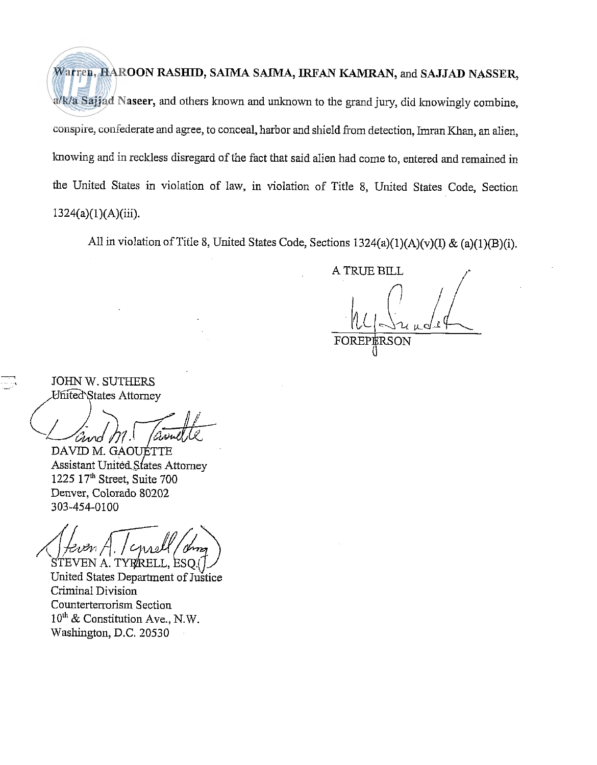Warren, HAROON RASHID, SAIMA SAIMA, **IRFAN KAMRAN,** and SAJJAD NASSER, a/k/a Sajjad Naseer, and others known and unknown to the grand jury, did knowingly combine, conspire, confederate and agree, to conceal, harbor and shield fiom detection, Imran Khan, an alien, lmowing and in reckless disregard of the fact that said alien had come to, entered and remained in the United States in violation of law, in violation of Title 8, United States Code, Section 1324(a)(l)(A)(iii).

All in violation of Title 8, United States Code, Sections 1324(a)(1)(A)(v)(I) & (a)(1)(B)(i).

**A** TRUE BILL ,/"

FOR

- JOHN W. SUTHERS JOHN W. SUTHERS<br>United States Attorney

DAVID M. GAOUÉTTE Assistant United States Attorney 1225 17"' Street, Suite 700 Denver, Colorado 80202 303-454-0100

'EN A. TYR/RELL. ESO.(

United States Department of Justice Criminal Division Counterterrorism Section  $10^{th}$  & Constitution Ave., N.W. Washington, D.C. 20530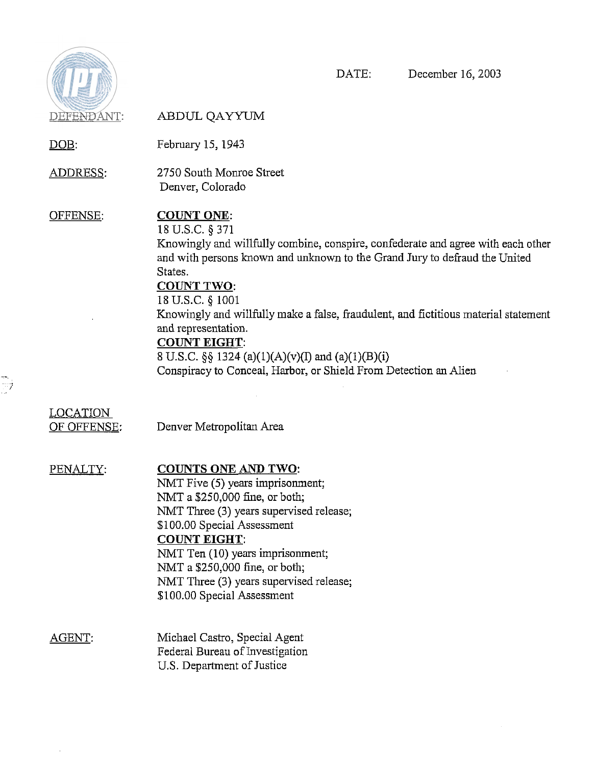

ti<br>D

DATE: December 16,2003

 $\sim$ 

| DEFENDANT:                     | ABDUL QAYYUM                                                                                                                                                                                                                                                                                                                                                                                                                                                                                                             |
|--------------------------------|--------------------------------------------------------------------------------------------------------------------------------------------------------------------------------------------------------------------------------------------------------------------------------------------------------------------------------------------------------------------------------------------------------------------------------------------------------------------------------------------------------------------------|
| <u>DOB:</u>                    | February 15, 1943                                                                                                                                                                                                                                                                                                                                                                                                                                                                                                        |
| ADDRESS:                       | 2750 South Monroe Street<br>Denver, Colorado                                                                                                                                                                                                                                                                                                                                                                                                                                                                             |
| OFFENSE:                       | <b>COUNT ONE:</b><br>18 U.S.C. § 371<br>Knowingly and willfully combine, conspire, confederate and agree with each other<br>and with persons known and unknown to the Grand Jury to defraud the United<br>States.<br><b>COUNT TWO:</b><br>18 U.S.C. § 1001<br>Knowingly and willfully make a false, fraudulent, and fictitious material statement<br>and representation.<br><b>COUNT EIGHT:</b><br>8 U.S.C. §§ 1324 (a)(1)(A)(v)(I) and (a)(1)(B)(i)<br>Conspiracy to Conceal, Harbor, or Shield From Detection an Alien |
| <b>LOCATION</b><br>OF OFFENSE: | Denver Metropolitan Area                                                                                                                                                                                                                                                                                                                                                                                                                                                                                                 |
| PENALTY:                       | <b>COUNTS ONE AND TWO:</b><br>NMT Five (5) years imprisonment;<br>NMT a \$250,000 fine, or both;<br>NMT Three (3) years supervised release;<br>\$100.00 Special Assessment<br><b>COUNT EIGHT:</b><br>NMT Ten (10) years imprisonment;<br>NMT a \$250,000 fine, or both;<br>NMT Three (3) years supervised release;<br>\$100.00 Special Assessment                                                                                                                                                                        |
| AGENT.                         | Michael Castro, Special Agent<br>Federal Bureau of Investigation                                                                                                                                                                                                                                                                                                                                                                                                                                                         |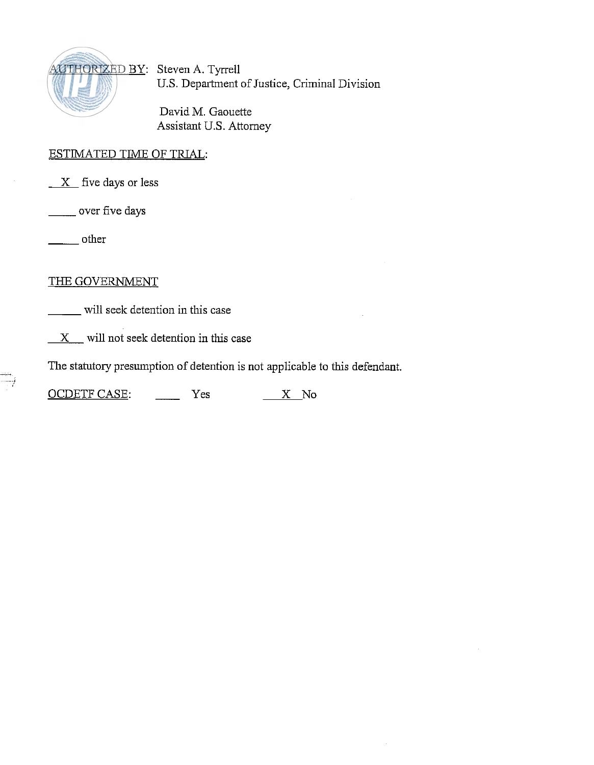

US. Department of Justice, Criminal Division

David M. Gaouette Assistant U.S. Attorney

# <u>ESTIMATED TIME OF TRIAL</u>: ESTIMATED TIME<br>X five days or le<br>wer five days

**X** five days or less

other

## THE GOVERNMENT

will seek detention in this case

**X** will not seek detention in this case

The statutory presumption of detention is not applicable to this defendant.

X will not seek detention in this case<br>The statutory presumption of detention is not applicable<br>OCDETF CASE: Yes <u>X</u> No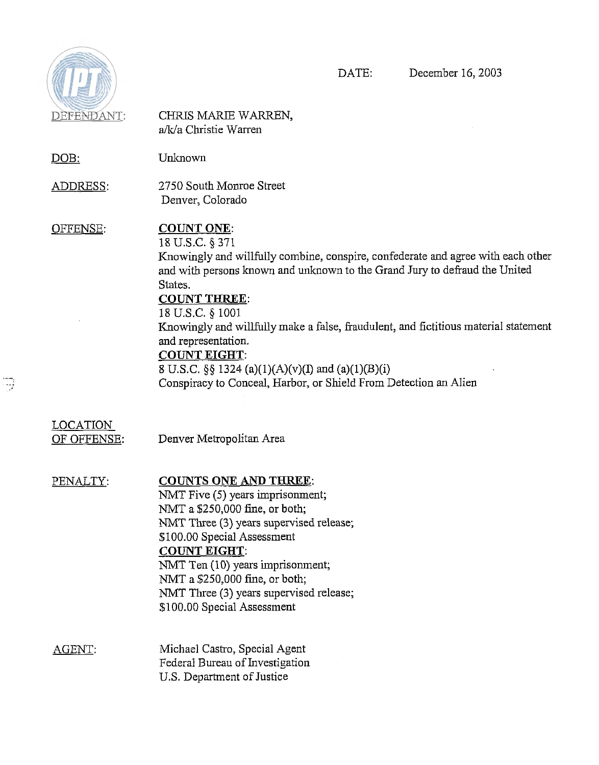

 $\overline{\mathbb{C}^2}$ 

| DEFENDANT:                     | CHRIS MARIE WARREN,<br>a/k/a Christie Warren                                                                                                                                                                                                                                                                                                                                                                                                                                                                               |
|--------------------------------|----------------------------------------------------------------------------------------------------------------------------------------------------------------------------------------------------------------------------------------------------------------------------------------------------------------------------------------------------------------------------------------------------------------------------------------------------------------------------------------------------------------------------|
| DOB:                           | Unknown                                                                                                                                                                                                                                                                                                                                                                                                                                                                                                                    |
| <u>ADDRESS:</u>                | 2750 South Monroe Street<br>Denver, Colorado                                                                                                                                                                                                                                                                                                                                                                                                                                                                               |
| OFFENSE:                       | <b>COUNT ONE:</b><br>18 U.S.C. § 371<br>Knowingly and willfully combine, conspire, confederate and agree with each other<br>and with persons known and unknown to the Grand Jury to defraud the United<br>States.<br><b>COUNT THREE:</b><br>18 U.S.C. § 1001<br>Knowingly and willfully make a false, fraudulent, and fictitious material statement<br>and representation.<br><b>COUNT EIGHT:</b><br>8 U.S.C. §§ 1324 (a)(1)(A)(v)(I) and (a)(1)(B)(i)<br>Conspiracy to Conceal, Harbor, or Shield From Detection an Alien |
| <b>LOCATION</b><br>OF OFFENSE: | Denver Metropolitan Area                                                                                                                                                                                                                                                                                                                                                                                                                                                                                                   |
| PENALTY:                       | <b>COUNTS ONE AND THREE:</b><br>NMT Five (5) years imprisonment;<br>NMT a \$250,000 fine, or both;<br>NMT Three (3) years supervised release;<br>\$100.00 Special Assessment<br><b>COUNT EIGHT:</b><br>NMT Ten (10) years imprisonment;<br>NMT a \$250,000 fine, or both;<br>NMT Three (3) years supervised release;<br>\$100.00 Special Assessment                                                                                                                                                                        |
| AGENT:                         | Michael Castro, Special Agent<br>Federal Bureau of Investigation<br>U.S. Department of Justice                                                                                                                                                                                                                                                                                                                                                                                                                             |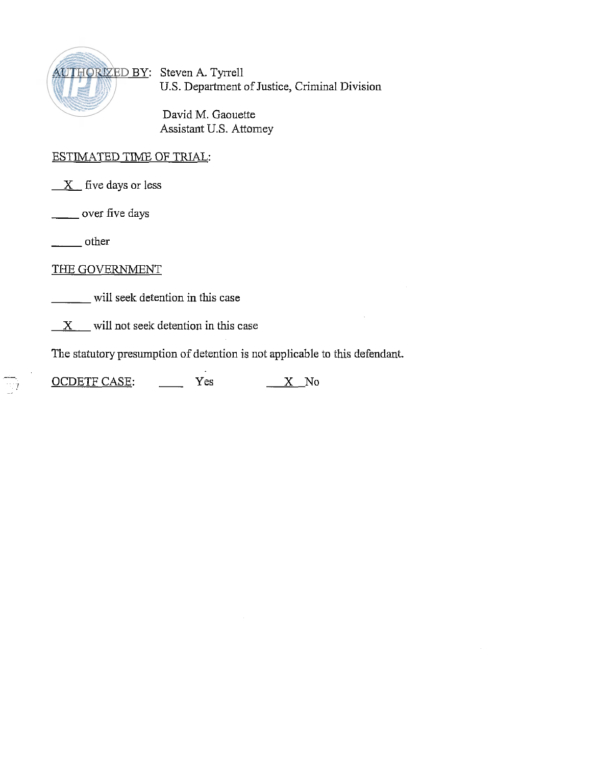

US. Department of Justice, Criminal Division

David M. Gaouette Assistant U.S. Attorney

## ESTIMATED TIME OF TRIAL:

ESTIMATED TIME OF<br>
X five days or less<br>
- over five days<br>
- other<br>
TIME COMENT OF THE

- over five days

-<br>---<br>----

THE GOVERNMENT

will seek detention in this case

 $X$  will not seek detention in this case

The statutory presumption of detention is not applicable to this defendant.

*I X* will not seek detention in this case<br>The statutory presumption of detention is not applicable<br>OCDETF CASE:  $\frac{X}{Y}$  No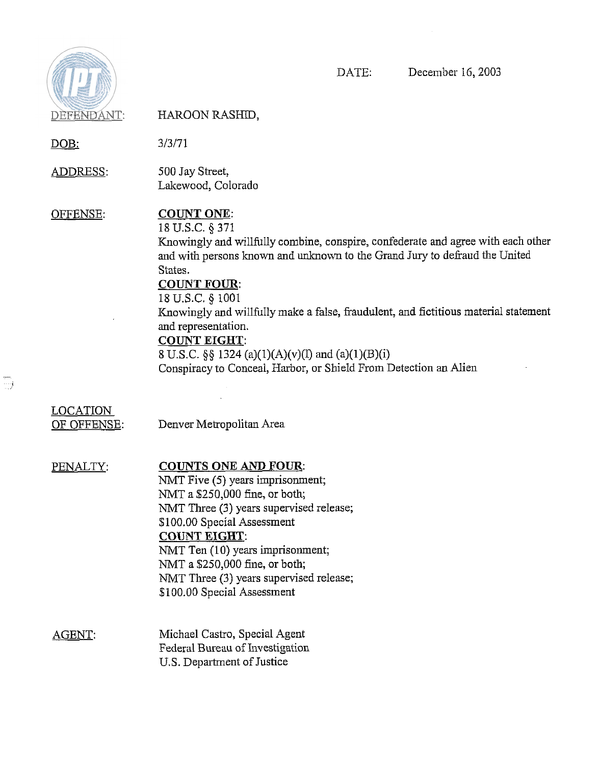

 $\overline{\mathbb{C}}$ 

DATE: December 16,2003

| DEFENDANT:                     | HAROON RASHID,                                                                                                                                                                                                                                                                                                                                                                                                                                                                                                            |
|--------------------------------|---------------------------------------------------------------------------------------------------------------------------------------------------------------------------------------------------------------------------------------------------------------------------------------------------------------------------------------------------------------------------------------------------------------------------------------------------------------------------------------------------------------------------|
| <u>DOB:</u>                    | 3/3/71                                                                                                                                                                                                                                                                                                                                                                                                                                                                                                                    |
| <u>ADDRESS:</u>                | 500 Jay Street,<br>Lakewood, Colorado                                                                                                                                                                                                                                                                                                                                                                                                                                                                                     |
| OFFENSE:                       | <b>COUNT ONE:</b><br>18 U.S.C. § 371<br>Knowingly and willfully combine, conspire, confederate and agree with each other<br>and with persons known and unknown to the Grand Jury to defraud the United<br>States.<br><b>COUNT FOUR:</b><br>18 U.S.C. § 1001<br>Knowingly and willfully make a false, fraudulent, and fictitious material statement<br>and representation.<br><b>COUNT EIGHT:</b><br>8 U.S.C. §§ 1324 (a)(1)(A)(v)(I) and (a)(1)(B)(i)<br>Conspiracy to Conceal, Harbor, or Shield From Detection an Alien |
| <b>LOCATION</b><br>OF OFFENSE: | Denver Metropolitan Area                                                                                                                                                                                                                                                                                                                                                                                                                                                                                                  |
| PENALTY:                       | <b>COUNTS ONE AND FOUR:</b><br>NMT Five (5) years imprisonment;<br>NMT a \$250,000 fine, or both;<br>NMT Three (3) years supervised release;<br>\$100.00 Special Assessment<br><b>COUNT EIGHT:</b><br>NMT Ten (10) years imprisonment;<br>NMT a \$250,000 fine, or both;<br>NMT Three (3) years supervised release;<br>\$100.00 Special Assessment                                                                                                                                                                        |
| AGENT:                         | Michael Castro, Special Agent<br>Federal Bureau of Investigation<br>U.S. Department of Justice                                                                                                                                                                                                                                                                                                                                                                                                                            |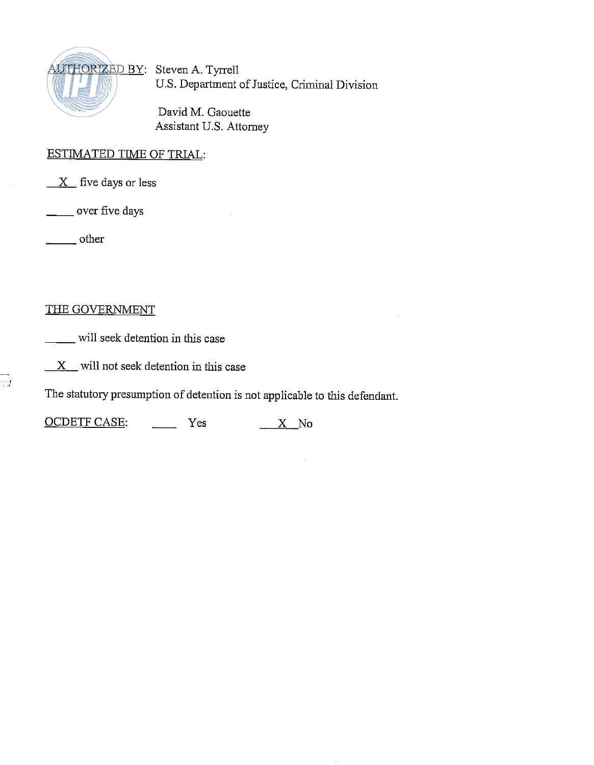

US. Department of Justice, Criminal Division

David M. Gaouette Assistant U.S. Attorney

## ESTIMATED TIME OF TRIAL:

*X* five days or less<br>
— over five days<br>
— other ESTIMATED TIME<br>X five days or les<br>\_\_\_\_\_\_\_ over five days

## THE GOVERNMENT

**\_\_\_\_** will seek detention in this case

 $\frac{X}{\sqrt{2}}$  will not seek detention in this case

The statutory presumption of detention is not applicable to this defendant.

X will not seek detention in this case<br>The statutory presumption of detention is not applicable to<br>OCDETF CASE: Yes <u>X</u> No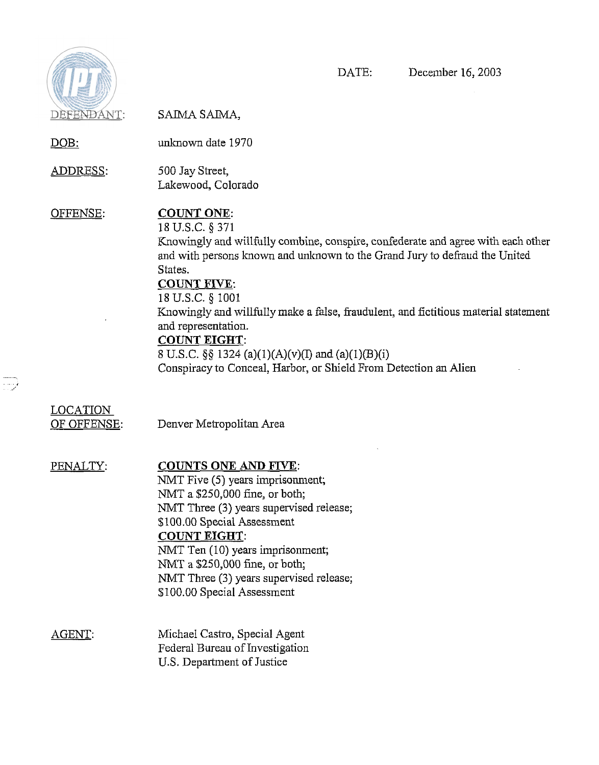

 $\begin{picture}(20,20) \put(0,0){\line(1,0){10}} \put(10,0){\line(1,0){10}} \put(10,0){\line(1,0){10}} \put(10,0){\line(1,0){10}} \put(10,0){\line(1,0){10}} \put(10,0){\line(1,0){10}} \put(10,0){\line(1,0){10}} \put(10,0){\line(1,0){10}} \put(10,0){\line(1,0){10}} \put(10,0){\line(1,0){10}} \put(10,0){\line(1,0){10}} \put(10,0){\line(1$ 

DATE: December 16,2003

| DEFENDANT:                     | SAIMA SAIMA,                                                                                                                                                                                                                                                                                                                                                                                                                                                                                                              |
|--------------------------------|---------------------------------------------------------------------------------------------------------------------------------------------------------------------------------------------------------------------------------------------------------------------------------------------------------------------------------------------------------------------------------------------------------------------------------------------------------------------------------------------------------------------------|
| <u>DOB:</u>                    | unknown date 1970                                                                                                                                                                                                                                                                                                                                                                                                                                                                                                         |
| <u>ADDRESS:</u>                | 500 Jay Street,<br>Lakewood, Colorado                                                                                                                                                                                                                                                                                                                                                                                                                                                                                     |
| OFFENSE:                       | <b>COUNT ONE:</b><br>18 U.S.C. § 371<br>Knowingly and willfully combine, conspire, confederate and agree with each other<br>and with persons known and unknown to the Grand Jury to defraud the United<br>States.<br><b>COUNT FIVE:</b><br>18 U.S.C. § 1001<br>Knowingly and willfully make a false, fraudulent, and fictitious material statement<br>and representation.<br><b>COUNT EIGHT:</b><br>8 U.S.C. §§ 1324 (a)(1)(A)(v)(I) and (a)(1)(B)(i)<br>Conspiracy to Conceal, Harbor, or Shield From Detection an Alien |
| <b>LOCATION</b><br>OF OFFENSE: | Denver Metropolitan Area                                                                                                                                                                                                                                                                                                                                                                                                                                                                                                  |
| PENALTY:                       | <b>COUNTS ONE AND FIVE:</b><br>NMT Five (5) years imprisonment;<br>NMT a \$250,000 fine, or both;<br>NMT Three (3) years supervised release;<br>\$100.00 Special Assessment<br><b>COUNT EIGHT:</b><br>NMT Ten (10) years imprisonment;<br>NMT a \$250,000 fine, or both;<br>NMT Three (3) years supervised release;<br>\$100.00 Special Assessment                                                                                                                                                                        |
| AGENT:                         | Michael Castro, Special Agent<br>Federal Bureau of Investigation<br>U.S. Department of Justice                                                                                                                                                                                                                                                                                                                                                                                                                            |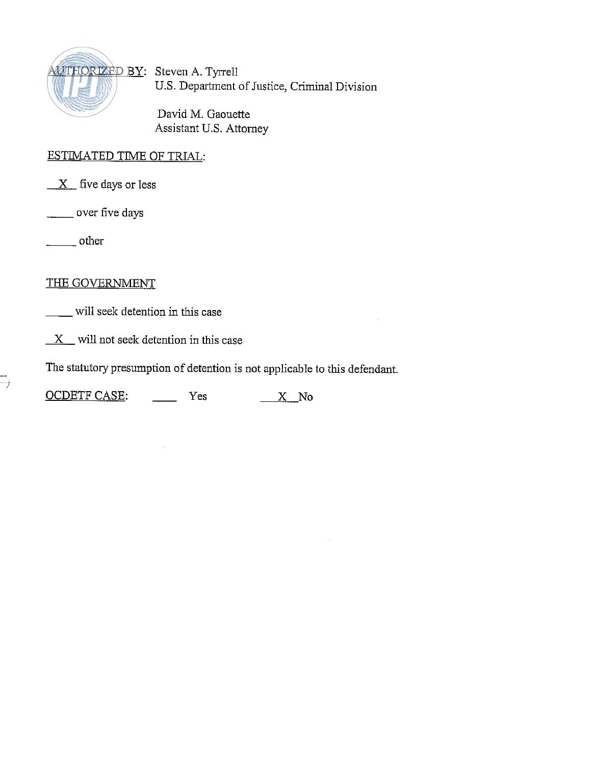

U.S. Department of Justice, Criminal Division

David M. Gaouette Assistant U.S. Attorney

# ESTIMATED TIME OF TRIAL:

**X** five days or less ESTIMATED TIME<br>X five days or less<br>over five days

over five days<br>
other

## THE GOVERNMENT

will seek detention in this case

 $X$  will not seek detention in this case

The statutory presumption of detention is not applicable to this defendant.

 $\bar{z}$ 

X will not seek detention in this case<br>The statutory presumption of detention is not applicable to<br>OCDETF CASE: Yes X No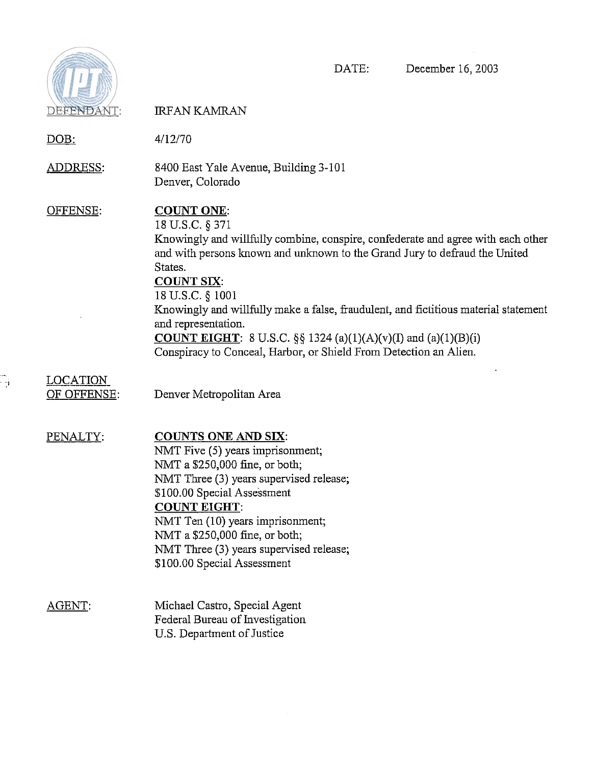

-

# DATE: December 16,2003

| DEFENDANT:                     | <b>IRFAN KAMRAN</b>                                                                                                                                                                                                                                                                                                                                                                                                                                                                                                     |
|--------------------------------|-------------------------------------------------------------------------------------------------------------------------------------------------------------------------------------------------------------------------------------------------------------------------------------------------------------------------------------------------------------------------------------------------------------------------------------------------------------------------------------------------------------------------|
| DOB:                           | 4/12/70                                                                                                                                                                                                                                                                                                                                                                                                                                                                                                                 |
| <u>ADDRESS:</u>                | 8400 East Yale Avenue, Building 3-101<br>Denver, Colorado                                                                                                                                                                                                                                                                                                                                                                                                                                                               |
| OFFENSE:                       | <b>COUNT ONE:</b><br>18 U.S.C. § 371<br>Knowingly and willfully combine, conspire, confederate and agree with each other<br>and with persons known and unknown to the Grand Jury to defraud the United<br>States.<br><b>COUNT SIX:</b><br>18 U.S.C. § 1001<br>Knowingly and willfully make a false, fraudulent, and fictitious material statement<br>and representation.<br><b>COUNT EIGHT</b> : 8 U.S.C. §§ 1324 (a)(1)(A)(v)(I) and (a)(1)(B)(i)<br>Conspiracy to Conceal, Harbor, or Shield From Detection an Alien. |
| <b>LOCATION</b><br>OF OFFENSE: | Denver Metropolitan Area                                                                                                                                                                                                                                                                                                                                                                                                                                                                                                |
| PENALTY:                       | <b>COUNTS ONE AND SIX:</b><br>NMT Five (5) years imprisonment;<br>NMT a \$250,000 fine, or both;<br>NMT Three (3) years supervised release;<br>\$100.00 Special Assessment<br><b>COUNT EIGHT:</b><br>NMT Ten (10) years imprisonment;<br>NMT a \$250,000 fine, or both;<br>NMT Three (3) years supervised release;<br>\$100.00 Special Assessment                                                                                                                                                                       |
| AGENT.                         | Michael Castro, Special Agent<br>Federal Bureau of Investigation<br>U.S. Department of Justice                                                                                                                                                                                                                                                                                                                                                                                                                          |

 $\mathcal{A}^{\mathcal{A}}$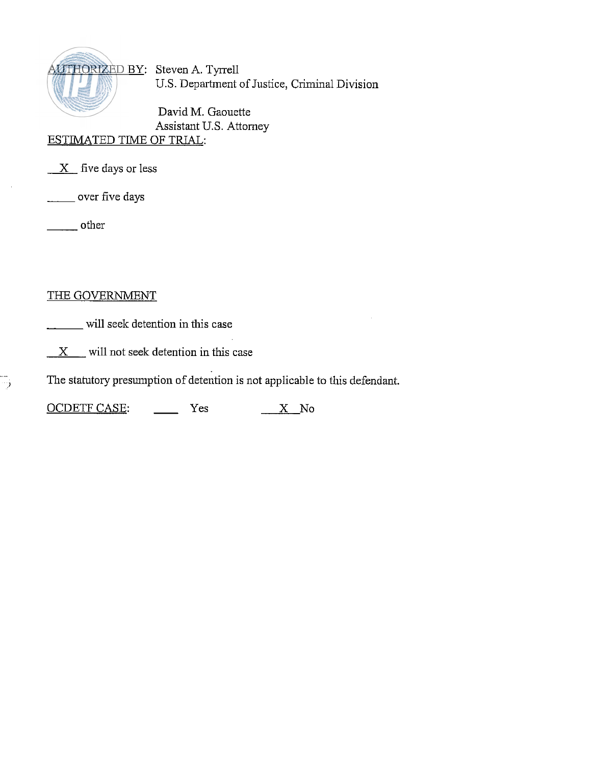

US. Department of Justice, Criminal Division

David M. Gaouette Assistant U.S. Attorney ESTIMATED TIME OF TRIAL:

*X* five days or less ESTIMATED TIME<br>X five days or le<br>
<u>wer</u> five days

over five days<br>
other

 $\overline{\phantom{a}}$  ,

# THE GOVERNMENT

will seek detention in this case

 $X$  will not seek detention in this case

**<sup>J</sup>**The statutory presumption of detention is not applicable to this defendant.

X will not seek detention in this case<br>The statutory presumption of detention is not applicable<br>OCDETF CASE: Yes X No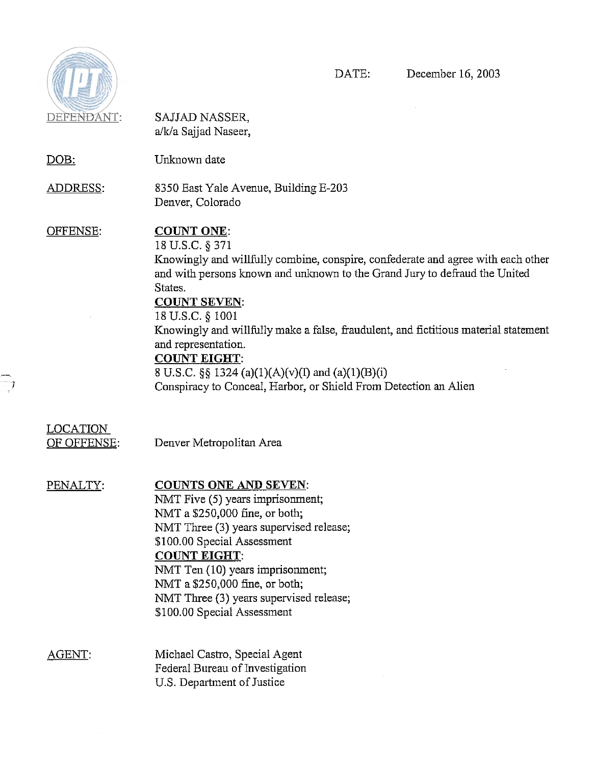

 $\overline{\mathbb{R}}$ 

| DEFENDANT:                     | SAJJAD NASSER,<br>a/k/a Sajjad Naseer,                                                                                                                                                                                                                                                                                                                                                                                                                                                                                     |
|--------------------------------|----------------------------------------------------------------------------------------------------------------------------------------------------------------------------------------------------------------------------------------------------------------------------------------------------------------------------------------------------------------------------------------------------------------------------------------------------------------------------------------------------------------------------|
| <u>DOB:</u>                    | Unknown date                                                                                                                                                                                                                                                                                                                                                                                                                                                                                                               |
| <u>ADDRESS:</u>                | 8350 East Yale Avenue, Building E-203<br>Denver, Colorado                                                                                                                                                                                                                                                                                                                                                                                                                                                                  |
| OFFENSE:                       | <b>COUNT ONE:</b><br>18 U.S.C. § 371<br>Knowingly and willfully combine, conspire, confederate and agree with each other<br>and with persons known and unknown to the Grand Jury to defraud the United<br>States.<br><b>COUNT SEVEN:</b><br>18 U.S.C. § 1001<br>Knowingly and willfully make a false, fraudulent, and fictitious material statement<br>and representation.<br><b>COUNT EIGHT:</b><br>8 U.S.C. §§ 1324 (a)(1)(A)(v)(I) and (a)(1)(B)(i)<br>Conspiracy to Conceal, Harbor, or Shield From Detection an Alien |
| <u>LOCATION</u><br>OF OFFENSE: | Denver Metropolitan Area                                                                                                                                                                                                                                                                                                                                                                                                                                                                                                   |
| PENALTY:                       | <b>COUNTS ONE AND SEVEN:</b><br>NMT Five (5) years imprisonment;<br>NMT a \$250,000 fine, or both;<br>NMT Three (3) years supervised release;<br>\$100.00 Special Assessment<br><b>COUNT EIGHT:</b><br>NMT Ten (10) years imprisonment;<br>NMT a \$250,000 fine, or both;<br>NMT Three (3) years supervised release;<br>\$100.00 Special Assessment                                                                                                                                                                        |
| AGENT:                         | Michael Castro, Special Agent<br>Federal Bureau of Investigation<br>U.S. Department of Justice                                                                                                                                                                                                                                                                                                                                                                                                                             |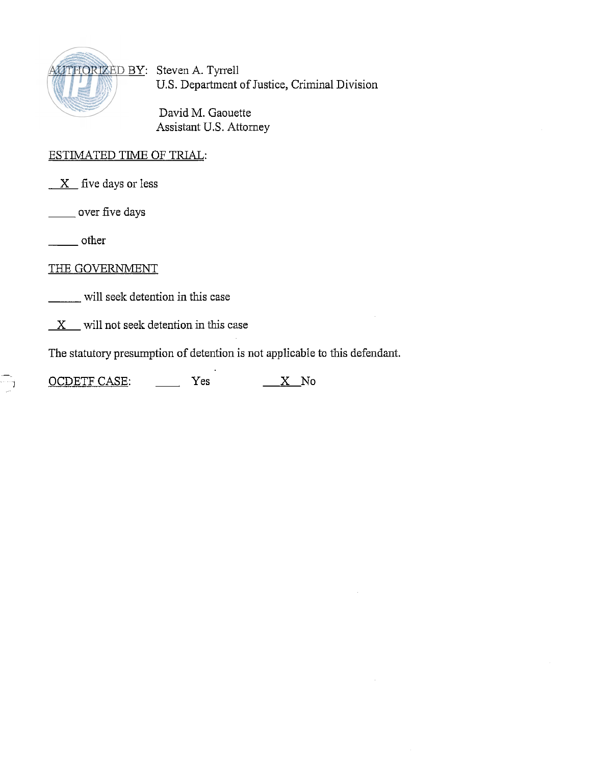

U.S. Department of Justice, Criminal Division

David M. Gaouette Assistant U.S. Attorney

## ESTIMATED TIME OF TRIAL:

*X* five days or less<br>
<u>X</u> five days or less<br>
<u>- other</u><br>
other

\_\_\_\_\_\_ over five days

-

THE GOVERNMENT

will seek detention in this case

 $X$  will not seek detention in this case

The statutory presumption of detention is not applicable to this defendant. X will not seek detention in this case<br>The statutory presumption of detention is not applicable<br>OCDETF CASE: Yes <u>X</u> No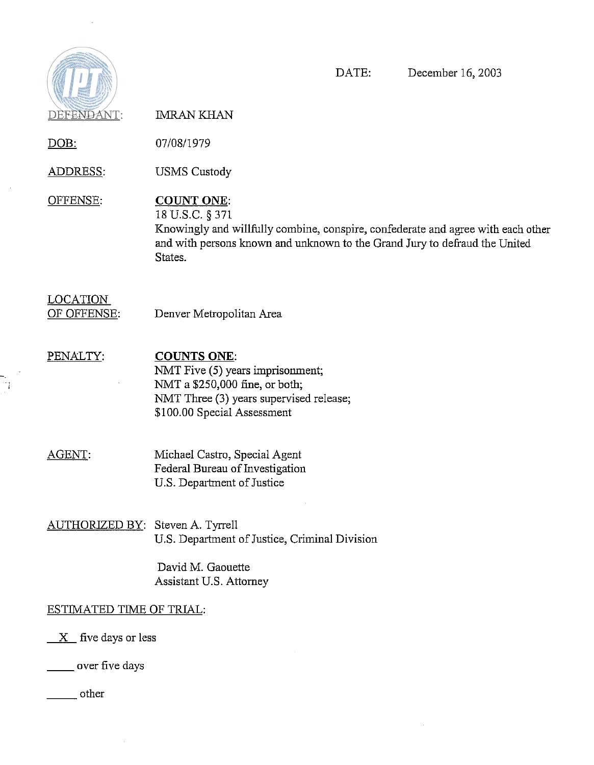

 $\sim$  4  $^{\circ}$ 

l,  $\frac{1}{\sqrt{1}}$ 

 $\bar{z}$ 

DATE: December 16,2003

| DEFENDANT:                     | <b>IMRAN KHAN</b>                                                                                                                                                                                                 |  |
|--------------------------------|-------------------------------------------------------------------------------------------------------------------------------------------------------------------------------------------------------------------|--|
| <u>DOB:</u>                    | 07/08/1979                                                                                                                                                                                                        |  |
| <u>ADDRESS:</u>                | <b>USMS</b> Custody                                                                                                                                                                                               |  |
| OFFENSE.                       | <b>COUNT ONE:</b><br>18 U.S.C. § 371<br>Knowingly and willfully combine, conspire, confederate and agree with each other<br>and with persons known and unknown to the Grand Jury to defraud the United<br>States. |  |
| <b>LOCATION</b><br>OF OFFENSE: | Denver Metropolitan Area                                                                                                                                                                                          |  |
| PENALTY:                       | <b>COUNTS ONE:</b><br>NMT Five (5) years imprisonment;<br>NMT a \$250,000 fine, or both:<br>NMT Three (3) years supervised release;<br>\$100.00 Special Assessment                                                |  |
| AGENT:                         | Michael Castro, Special Agent<br>Federal Bureau of Investigation<br>U.S. Department of Justice                                                                                                                    |  |
| <u> AUTHORIZED BY:</u>         | Steven A. Tyrrell<br>U.S. Department of Justice, Criminal Division                                                                                                                                                |  |
|                                | David M. Gaouette<br>Assistant U.S. Attorney                                                                                                                                                                      |  |
| ESTIMATED TIME OF TRIAL:       |                                                                                                                                                                                                                   |  |
| $X$ five days or less          |                                                                                                                                                                                                                   |  |
| over five days                 |                                                                                                                                                                                                                   |  |

other